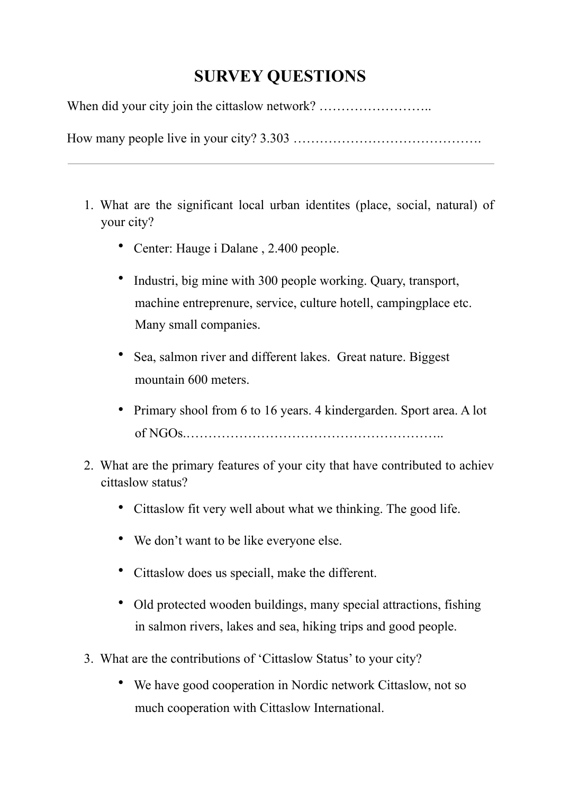## **SURVEY QUESTIONS**

When did your city join the cittaslow network? ..................................

How many people live in your city? 3.303 …………………………………….

- 1. What are the significant local urban identites (place, social, natural) of your city?
	- Center: Hauge i Dalane , 2.400 people.
	- Industri, big mine with 300 people working. Quary, transport, machine entreprenure, service, culture hotell, campingplace etc. Many small companies.
	- Sea, salmon river and different lakes. Great nature. Biggest mountain 600 meters.
	- Primary shool from 6 to 16 years. 4 kindergarden. Sport area. A lot of NGOs.…………………………………………………..
- 2. What are the primary features of your city that have contributed to achiev cittaslow status?
	- Cittaslow fit very well about what we thinking. The good life.
	- We don't want to be like everyone else.
	- Cittaslow does us speciall, make the different.
	- Old protected wooden buildings, many special attractions, fishing in salmon rivers, lakes and sea, hiking trips and good people.
- 3. What are the contributions of 'Cittaslow Status' to your city?
	- We have good cooperation in Nordic network Cittaslow, not so much cooperation with Cittaslow International.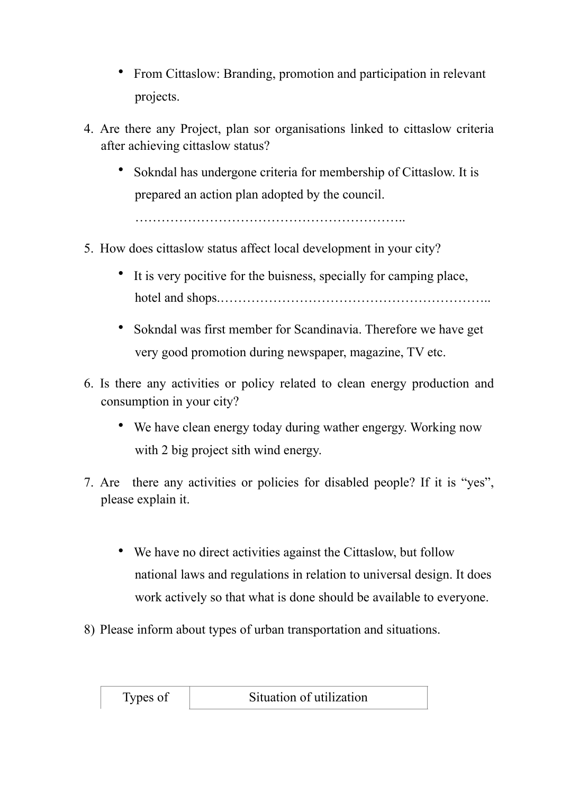- From Cittaslow: Branding, promotion and participation in relevant projects.
- 4. Are there any Project, plan sor organisations linked to cittaslow criteria after achieving cittaslow status?
	- Sokndal has undergone criteria for membership of Cittaslow. It is prepared an action plan adopted by the council.

……………………………………………………..

- 5. How does cittaslow status affect local development in your city?
	- It is very pocitive for the buisness, specially for camping place, hotel and shops.……………………………………………………..
	- Sokndal was first member for Scandinavia. Therefore we have get very good promotion during newspaper, magazine, TV etc.
- 6. Is there any activities or policy related to clean energy production and consumption in your city?
	- We have clean energy today during wather engergy. Working now with 2 big project sith wind energy.
- 7. Are there any activities or policies for disabled people? If it is "yes", please explain it.
	- We have no direct activities against the Cittaslow, but follow national laws and regulations in relation to universal design. It does work actively so that what is done should be available to everyone.
- 8) Please inform about types of urban transportation and situations.

| Types of | Situation of utilization |  |
|----------|--------------------------|--|
|----------|--------------------------|--|